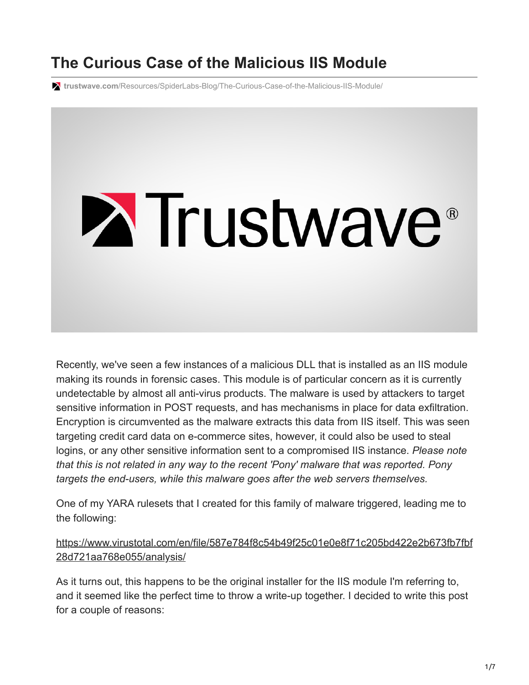## **The Curious Case of the Malicious IIS Module**

**trustwave.com**[/Resources/SpiderLabs-Blog/The-Curious-Case-of-the-Malicious-IIS-Module/](https://www.trustwave.com/Resources/SpiderLabs-Blog/The-Curious-Case-of-the-Malicious-IIS-Module/)



Recently, we've seen a few instances of a malicious DLL that is installed as an IIS module making its rounds in forensic cases. This module is of particular concern as it is currently undetectable by almost all anti-virus products. The malware is used by attackers to target sensitive information in POST requests, and has mechanisms in place for data exfiltration. Encryption is circumvented as the malware extracts this data from IIS itself. This was seen targeting credit card data on e-commerce sites, however, it could also be used to steal logins, or any other sensitive information sent to a compromised IIS instance. *Please note that this is not related in any way to the recent 'Pony' malware that was reported. Pony targets the end-users, while this malware goes after the web servers themselves.*

One of my YARA rulesets that I created for this family of malware triggered, leading me to the following:

[https://www.virustotal.com/en/file/587e784f8c54b49f25c01e0e8f71c205bd422e2b673fb7fbf](https://www.virustotal.com/en/file/587e784f8c54b49f25c01e0e8f71c205bd422e2b673fb7fbf28d721aa768e055/analysis/) 28d721aa768e055/analysis/

As it turns out, this happens to be the original installer for the IIS module I'm referring to, and it seemed like the perfect time to throw a write-up together. I decided to write this post for a couple of reasons: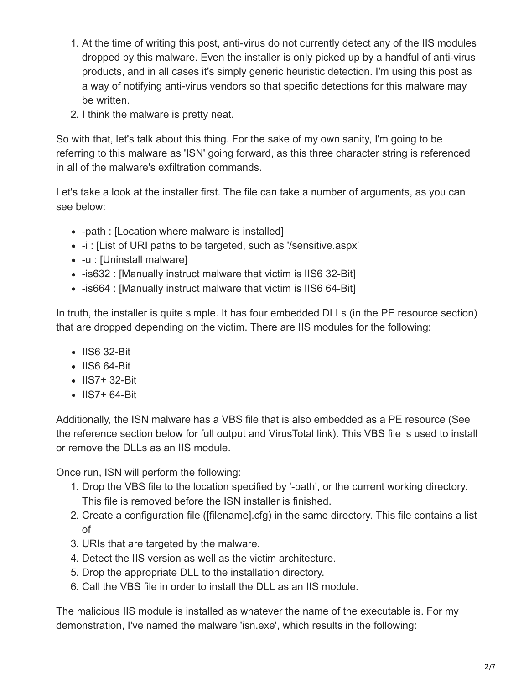- 1. At the time of writing this post, anti-virus do not currently detect any of the IIS modules dropped by this malware. Even the installer is only picked up by a handful of anti-virus products, and in all cases it's simply generic heuristic detection. I'm using this post as a way of notifying anti-virus vendors so that specific detections for this malware may be written.
- 2. I think the malware is pretty neat.

So with that, let's talk about this thing. For the sake of my own sanity, I'm going to be referring to this malware as 'ISN' going forward, as this three character string is referenced in all of the malware's exfiltration commands.

Let's take a look at the installer first. The file can take a number of arguments, as you can see below:

- -path : [Location where malware is installed]
- -i : [List of URI paths to be targeted, such as '/sensitive.aspx'
- -u : [Uninstall malware]
- -is632 : [Manually instruct malware that victim is IIS6 32-Bit]
- -is664 : [Manually instruct malware that victim is IIS6 64-Bit]

In truth, the installer is quite simple. It has four embedded DLLs (in the PE resource section) that are dropped depending on the victim. There are IIS modules for the following:

- IIS6 32-Bit
- IIS6 64-Bit
- IIS7+ 32-Bit
- IIS7+ 64-Bit

Additionally, the ISN malware has a VBS file that is also embedded as a PE resource (See the reference section below for full output and VirusTotal link). This VBS file is used to install or remove the DLLs as an IIS module.

Once run, ISN will perform the following:

- 1. Drop the VBS file to the location specified by '-path', or the current working directory. This file is removed before the ISN installer is finished.
- 2. Create a configuration file ([filename].cfg) in the same directory. This file contains a list of
- 3. URIs that are targeted by the malware.
- 4. Detect the IIS version as well as the victim architecture.
- 5. Drop the appropriate DLL to the installation directory.
- 6. Call the VBS file in order to install the DLL as an IIS module.

The malicious IIS module is installed as whatever the name of the executable is. For my demonstration, I've named the malware 'isn.exe', which results in the following: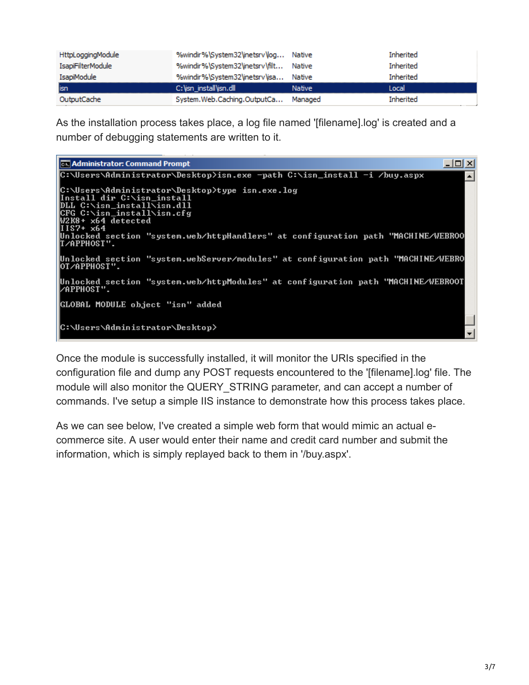| <b>HttpLoggingModule</b> | %windir%\System32\inetsrv\log Native  |         | Inherited        |
|--------------------------|---------------------------------------|---------|------------------|
| <b>IsapiFilterModule</b> | %windir%\System32\inetsrv\filt Native |         | Inherited        |
| IsapiModule              | %windir%\System32\inetsrv\isa Native  |         | <b>Inherited</b> |
| isn                      | C: \isn install\isn.dll               | Native  | l ocal           |
| OutputCache              | System.Web.Caching.OutputCa           | Managed | <b>Inherited</b> |

As the installation process takes place, a log file named '[filename].log' is created and a number of debugging statements are written to it.

| <b>EX Administrator: Command Prompt</b>                                                                                                                                         | - 미 시            |
|---------------------------------------------------------------------------------------------------------------------------------------------------------------------------------|------------------|
| C:\Users\Administrator\Desktop>isn.exe -path C:\isn_install -i /buy.aspx                                                                                                        | $\blacktriangle$ |
| C:\Users\Administrator\Desktop>type_isn.exe.log<br> Install dir C:\isn_install<br>DLL C:\isn_install\isn.dll<br> CFG C:\isn_install\isn.cfg<br>W2K8+ x64 detected<br>IIIS7+ x64 |                  |
| Unlocked section "system.web/httpHandlers" at configuration path "MACHINE/WEBROO"<br>IT⁄APPHOST".                                                                               |                  |
| Unlocked section "system.webServer/modules" at configuration path "MACHINE/WEBRO<br>IOT⁄APPHOST".                                                                               |                  |
| Unlocked section "system.web/httpModules" at configuration path "MACHINE/WEBROOT<br>I∕APPHOST".                                                                                 |                  |
| GLOBAL MODULE object "isn" added                                                                                                                                                |                  |
| C:\Users\Administrator\Desktop>                                                                                                                                                 |                  |

Once the module is successfully installed, it will monitor the URIs specified in the configuration file and dump any POST requests encountered to the '[filename].log' file. The module will also monitor the QUERY\_STRING parameter, and can accept a number of commands. I've setup a simple IIS instance to demonstrate how this process takes place.

As we can see below, I've created a simple web form that would mimic an actual ecommerce site. A user would enter their name and credit card number and submit the information, which is simply replayed back to them in '/buy.aspx'.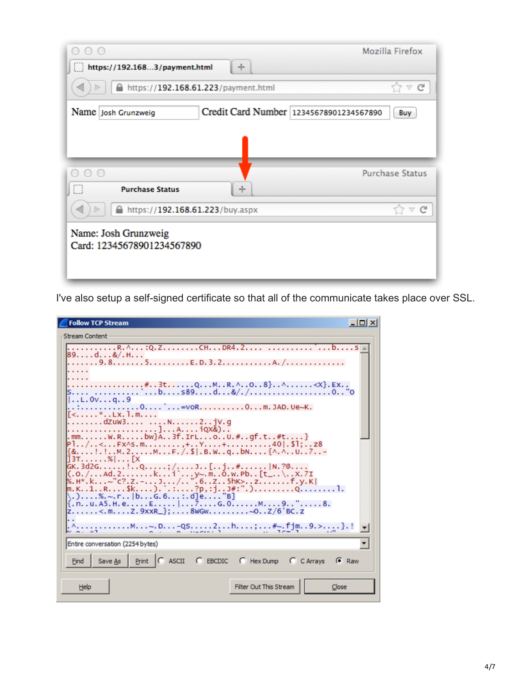| $\circ$                                                        | Mozilla Firefox        |
|----------------------------------------------------------------|------------------------|
| https://192.1683/payment.html<br>÷                             |                        |
| https://192.168.61.223/payment.html                            | $\vee$ G               |
| Credit Card Number 12345678901234567890<br>Name Josh Grunzweig | Buy                    |
|                                                                |                        |
| $\bigcirc$<br><b>Purchase Status</b><br>÷                      | <b>Purchase Status</b> |
| https://192.168.61.223/buy.aspx                                | $57 \vee C$            |
| Name: Josh Grunzweig<br>Card: 12345678901234567890             |                        |

I've also setup a self-signed certificate so that all of the communicate takes place over SSL.

| <b>Follow TCP Stream</b>                                                                                                                                                                                                                                                | - 101 X |
|-------------------------------------------------------------------------------------------------------------------------------------------------------------------------------------------------------------------------------------------------------------------------|---------|
| <b>Stream Content</b>                                                                                                                                                                                                                                                   |         |
| R. ^: Q. ZCHDR4. 2<br>$\cdot \cdot \cdot$ b. $\cdot \cdot \cdot$ . S.<br>89. d. &/. H.                                                                                                                                                                                  |         |
|                                                                                                                                                                                                                                                                         |         |
| #3tQMR.^O8}^ <x}.ex< td=""><td></td></x}.ex<>                                                                                                                                                                                                                           |         |
| $$ L.Ovq9<br>0`=voR0m.JAD.Ue~K.                                                                                                                                                                                                                                         |         |
| $\langle \ldots \rangle$ . LX. 1. m<br>dzuw3 N2jv.g                                                                                                                                                                                                                     |         |
| .mmW.Rbw}A3f.IrLoU.#gf.t#t}<br>P1/ <fx^s.m,+y+40 .\$1;z8< td=""><td></td></fx^s.m,+y+40 .\$1;z8<>                                                                                                                                                                       |         |
| $\{8, \ldots, \ldots, M, 2, \ldots, M, \ldots, F, /S\}$ . B. W. . q. . bN $\{\wedge, \wedge, U, .7, .5, \ldots, K\}$<br>13T. %  [X                                                                                                                                      |         |
| GK.3d2G. ! Q. ; / J [. . j #.  N. ?@.<br>$(0.001, 0.011, 0.001, 0.001, 0.001, 0.001, 0.001, 0.001, 0.001, 0.001, 0.001, 0.001, 0.001, 0.001, 0.001, 0.001, 0.001, 0.001, 0.001, 0.001, 0.001, 0.001, 0.001, 0.001, 0.001, 0.001, 0.001, 0.001, 0.001, 0.001, 0.001, 0.$ |         |
| %. H*. k. ~"c?. Z. -. J. /. . ". 6. . Z. . 5hK>. . z. f. y. K <br>m.K1RSk).`.:?p,:jJ#:".)Q1.                                                                                                                                                                            |         |
| . ). $\dots$ %. ~. r $\dots$   b. $\dots$ G. 6. $\dots$ : . d] e. $\dots$ "B]<br>{. n. . u. A5. H. e. E.   7. G. 0. M. 9. . ". 8.                                                                                                                                       |         |
| Z<.mZ.9xxR_};8WGW~OZ/6'BC.z                                                                                                                                                                                                                                             |         |
|                                                                                                                                                                                                                                                                         |         |
| Entire conversation (2254 bytes)                                                                                                                                                                                                                                        |         |
| Print   C ASCII C EBCDIC C Hex Dump C C Arrays G Raw<br>Save As<br>Find                                                                                                                                                                                                 |         |
| Filter Out This Stream<br>Help<br>Close                                                                                                                                                                                                                                 |         |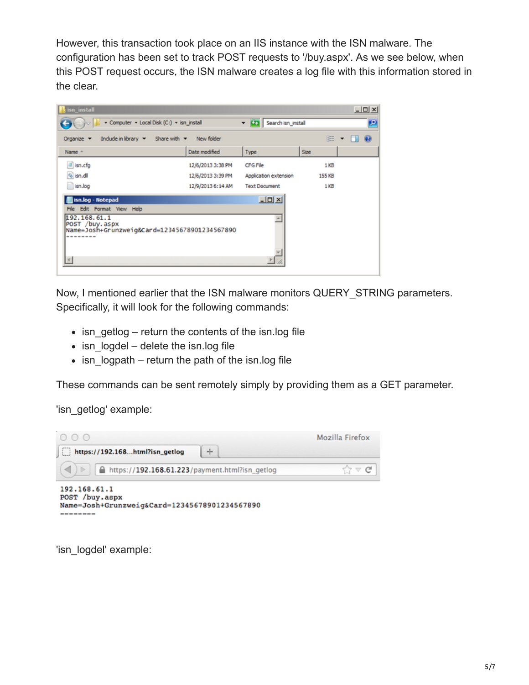However, this transaction took place on an IIS instance with the ISN malware. The configuration has been set to track POST requests to '/buy.aspx'. As we see below, when this POST request occurs, the ISN malware creates a log file with this information stored in the clear.



Now, I mentioned earlier that the ISN malware monitors QUERY\_STRING parameters. Specifically, it will look for the following commands:

- $\bullet$  isn getlog return the contents of the isn.log file
- $\bullet$  isn logdel delete the isn.log file
- $\bullet$  isn logpath return the path of the isn.log file

These commands can be sent remotely simply by providing them as a GET parameter.

'isn\_getlog' example:



'isn\_logdel' example: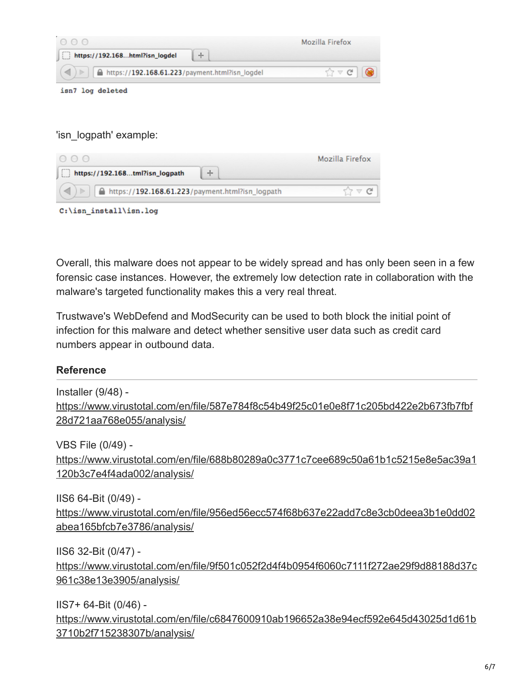| 000                                                  | Mozilla Firefox       |
|------------------------------------------------------|-----------------------|
| https://192.168html?isn_logdel<br>÷                  |                       |
| △ https://192.168.61.223/payment.html?isn_logdel     | $\sqrt{2}$ $\vee$ $C$ |
| isn7 log deleted                                     |                       |
|                                                      |                       |
|                                                      |                       |
| 'isn logpath' example:                               |                       |
| $\bigcirc$ $\bigcirc$                                | Mozilla Firefox       |
| https://192.168tml?isn_logpath<br>÷                  |                       |
| https://192.168.61.223/payment.html?isn_logpath<br>⊳ | $\vee$ G              |
| C:\isn install\isn.log                               |                       |

Overall, this malware does not appear to be widely spread and has only been seen in a few forensic case instances. However, the extremely low detection rate in collaboration with the malware's targeted functionality makes this a very real threat.

Trustwave's WebDefend and ModSecurity can be used to both block the initial point of infection for this malware and detect whether sensitive user data such as credit card numbers appear in outbound data.

## **Reference**

Installer (9/48) [https://www.virustotal.com/en/file/587e784f8c54b49f25c01e0e8f71c205bd422e2b673fb7fbf](https://www.virustotal.com/en/file/587e784f8c54b49f25c01e0e8f71c205bd422e2b673fb7fbf28d721aa768e055/analysis/) 28d721aa768e055/analysis/ VBS File (0/49) -

[https://www.virustotal.com/en/file/688b80289a0c3771c7cee689c50a61b1c5215e8e5ac39a1](https://www.virustotal.com/en/file/688b80289a0c3771c7cee689c50a61b1c5215e8e5ac39a1120b3c7e4f4ada002/analysis/) 120b3c7e4f4ada002/analysis/

IIS6 64-Bit (0/49) [https://www.virustotal.com/en/file/956ed56ecc574f68b637e22add7c8e3cb0deea3b1e0dd02](https://www.virustotal.com/en/file/956ed56ecc574f68b637e22add7c8e3cb0deea3b1e0dd02abea165bfcb7e3786/analysis/) abea165bfcb7e3786/analysis/

IIS6 32-Bit (0/47) [https://www.virustotal.com/en/file/9f501c052f2d4f4b0954f6060c7111f272ae29f9d88188d37c](https://www.virustotal.com/en/file/9f501c052f2d4f4b0954f6060c7111f272ae29f9d88188d37c961c38e13e3905/analysis/) 961c38e13e3905/analysis/

IIS7+ 64-Bit (0/46) -

[https://www.virustotal.com/en/file/c6847600910ab196652a38e94ecf592e645d43025d1d61b](https://www.virustotal.com/en/file/c6847600910ab196652a38e94ecf592e645d43025d1d61b3710b2f715238307b/analysis/) 3710b2f715238307b/analysis/